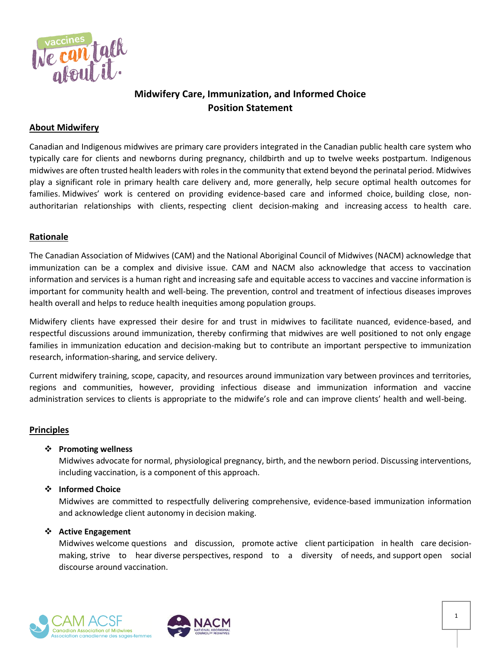

# **Midwifery Care, Immunization, and Informed Choice Position Statement**

### **About Midwifery**

Canadian and Indigenous midwives are primary care providers integrated in the Canadian public health care system who typically care for clients and newborns during pregnancy, childbirth and up to twelve weeks postpartum. Indigenous midwives are often trusted health leaders with roles in the community that extend beyond the perinatal period. Midwives play a significant role in primary health care delivery and, more generally, help secure optimal health outcomes for families. Midwives' work is centered on providing evidence-based care and informed choice, building close, nonauthoritarian relationships with clients, respecting client decision-making and increasing access to health care.

### **Rationale**

The Canadian Association of Midwives (CAM) and the National Aboriginal Council of Midwives (NACM) acknowledge that immunization can be a complex and divisive issue. CAM and NACM also acknowledge that access to vaccination information and services is a human right and increasing safe and equitable access to vaccines and vaccine information is important for community health and well-being. The prevention, control and treatment of infectious diseases improves health overall and helps to reduce health inequities among population groups.

Midwifery clients have expressed their desire for and trust in midwives to facilitate nuanced, evidence-based, and respectful discussions around immunization, thereby confirming that midwives are well positioned to not only engage families in immunization education and decision-making but to contribute an important perspective to immunization research, information-sharing, and service delivery.

Current midwifery training, scope, capacity, and resources around immunization vary between provinces and territories, regions and communities, however, providing infectious disease and immunization information and vaccine administration services to clients is appropriate to the midwife's role and can improve clients' health and well-being.

### **Principles**

### ❖ **Promoting wellness**

Midwives advocate for normal, physiological pregnancy, birth, and the newborn period. Discussing interventions, including vaccination, is a component of this approach.

### ❖ **Informed Choice**

Midwives are committed to respectfully delivering comprehensive, evidence-based immunization information and acknowledge client autonomy in decision making.

#### ❖ **Active Engagement**

Midwives welcome questions and discussion, promote active client participation in health care decisionmaking, strive to hear diverse perspectives, respond to a diversity of needs, and support open social discourse around vaccination.



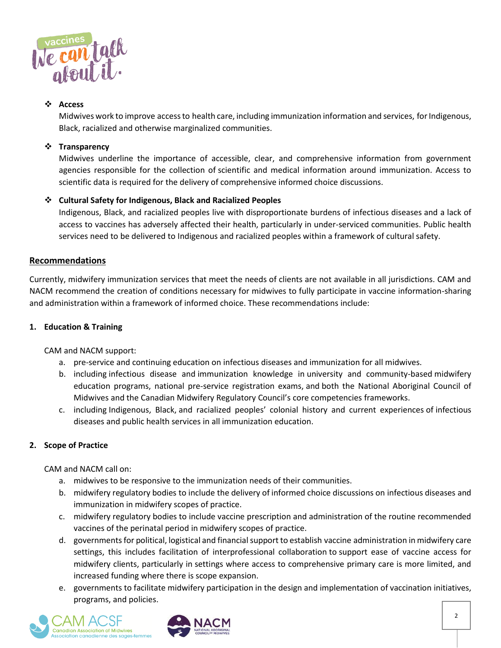

### ❖ **Access**

Midwives work to improve access to health care, including immunization information and services, for Indigenous, Black, racialized and otherwise marginalized communities.

### ❖ **Transparency**

Midwives underline the importance of accessible, clear, and comprehensive information from government agencies responsible for the collection of scientific and medical information around immunization. Access to scientific data is required for the delivery of comprehensive informed choice discussions.

# ❖ **Cultural Safety for Indigenous, Black and Racialized Peoples**

Indigenous, Black, and racialized peoples live with disproportionate burdens of infectious diseases and a lack of access to vaccines has adversely affected their health, particularly in under-serviced communities. Public health services need to be delivered to Indigenous and racialized peoples within a framework of cultural safety.

### **Recommendations**

Currently, midwifery immunization services that meet the needs of clients are not available in all jurisdictions. CAM and NACM recommend the creation of conditions necessary for midwives to fully participate in vaccine information-sharing and administration within a framework of informed choice. These recommendations include:

### **1. Education & Training**

### CAM and NACM support:

- a. pre-service and continuing education on infectious diseases and immunization for all midwives.
- b. including infectious disease and immunization knowledge in university and community-based midwifery education programs, national pre-service registration exams, and both the National Aboriginal Council of Midwives and the Canadian Midwifery Regulatory Council's core competencies frameworks.
- c. including Indigenous, Black, and racialized peoples' colonial history and current experiences of infectious diseases and public health services in all immunization education.

### **2. Scope of Practice**

CAM and NACM call on:

- a. midwives to be responsive to the immunization needs of their communities.
- b. midwifery regulatory bodies to include the delivery of informed choice discussions on infectious diseases and immunization in midwifery scopes of practice.
- c. midwifery regulatory bodies to include vaccine prescription and administration of the routine recommended vaccines of the perinatal period in midwifery scopes of practice.
- d. governments for political, logistical and financialsupport to establish vaccine administration in midwifery care settings, this includes facilitation of interprofessional collaboration to support ease of vaccine access for midwifery clients, particularly in settings where access to comprehensive primary care is more limited, and increased funding where there is scope expansion.
- e. governments to facilitate midwifery participation in the design and implementation of vaccination initiatives, programs, and policies.



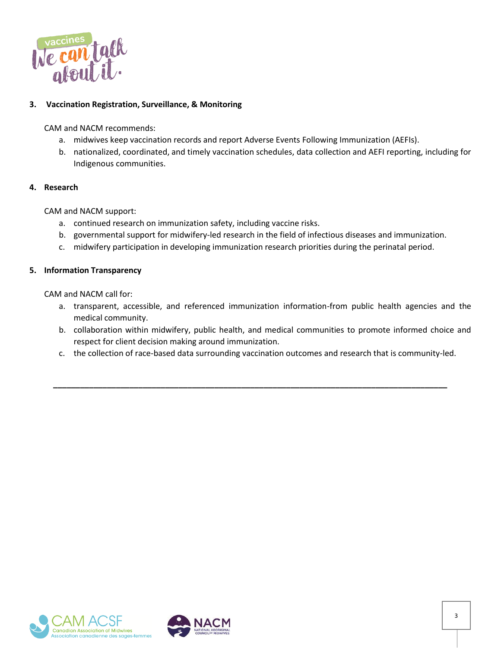

# **3. Vaccination Registration, Surveillance, & Monitoring**

CAM and NACM recommends:

- a. midwives keep vaccination records and report Adverse Events Following Immunization (AEFIs).
- b. nationalized, coordinated, and timely vaccination schedules, data collection and AEFI reporting, including for Indigenous communities.

### **4. Research**

CAM and NACM support:

- a. continued research on immunization safety, including vaccine risks.
- b. governmental support for midwifery-led research in the field of infectious diseases and immunization.
- c. midwifery participation in developing immunization research priorities during the perinatal period.

#### **5. Information Transparency**

CAM and NACM call for:

- a. transparent, accessible, and referenced immunization information-from public health agencies and the medical community.
- b. collaboration within midwifery, public health, and medical communities to promote informed choice and respect for client decision making around immunization.
- c. the collection of race-based data surrounding vaccination outcomes and research that is community-led.

**\_\_\_\_\_\_\_\_\_\_\_\_\_\_\_\_\_\_\_\_\_\_\_\_\_\_\_\_\_\_\_\_\_\_\_\_\_\_\_\_\_\_\_\_\_\_\_\_\_\_\_\_\_\_\_\_\_\_\_\_\_\_\_\_\_\_\_\_\_\_\_\_\_\_\_\_\_\_\_\_\_\_\_\_\_\_\_\_**



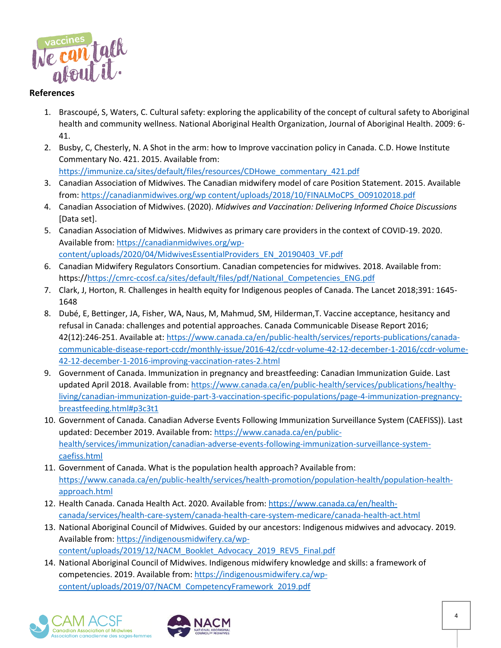

# **References**

- 1. Brascoupé, S, Waters, C. Cultural safety: exploring the applicability of the concept of cultural safety to Aboriginal health and community wellness. National Aboriginal Health Organization, Journal of Aboriginal Health. 2009: 6- 41.
- 2. Busby, C, Chesterly, N. A Shot in the arm: how to Improve vaccination policy in Canada. C.D. Howe Institute Commentary No. 421. 2015. Available from: [https://immunize.ca/sites/default/files/resources/CDHowe\\_commentary\\_421.pdf](https://immunize.ca/sites/default/files/resources/CDHowe_commentary_421.pdf)
- 3. Canadian Association of Midwives. The Canadian midwifery model of care Position Statement. 2015. Available from: [https://canadianmidwives.org/wp content/uploads/2018/10/FINALMoCPS\\_O09102018.pdf](https://canadianmidwives.org/wp-content/uploads/2018/10/FINALMoCPS_O09102018.pdf)
- 4. Canadian Association of Midwives. (2020). *Midwives and Vaccination: Delivering Informed Choice Discussions* [Data set].
- 5. Canadian Association of Midwives. Midwives as primary care providers in the context of COVID-19. 2020. Available from[: https://canadianmidwives.org/wp](https://canadianmidwives.org/wp-content/uploads/2020/04/MidwivesEssentialProviders_EN_20190403_VF.pdf)[content/uploads/2020/04/MidwivesEssentialProviders\\_EN\\_20190403\\_VF.pdf](https://canadianmidwives.org/wp-content/uploads/2020/04/MidwivesEssentialProviders_EN_20190403_VF.pdf)
- 6. Canadian Midwifery Regulators Consortium. Canadian competencies for midwives. 2018. Available from: https:/[/https://cmrc-ccosf.ca/sites/default/files/pdf/National\\_Competencies\\_ENG.pdf](https://cmrc-ccosf.ca/sites/default/files/pdf/National_Competencies_ENG.pdf)
- 7. Clark, J, Horton, R. Challenges in health equity for Indigenous peoples of Canada. The Lancet 2018;391: 1645- 1648
- 8. Dubé, E, Bettinger, JA, Fisher, WA, Naus, M, Mahmud, SM, Hilderman,T. Vaccine acceptance, hesitancy and refusal in Canada: challenges and potential approaches. Canada Communicable Disease Report 2016; 42(12):246-251. Available at[: https://www.canada.ca/en/public-health/services/reports-publications/canada](https://www.canada.ca/en/public-health/services/reports-publications/canada-communicable-disease-report-ccdr/monthly-issue/2016-42/ccdr-volume-42-12-december-1-2016/ccdr-volume-42-12-december-1-2016-improving-vaccination-rates-2.html)[communicable-disease-report-ccdr/monthly-issue/2016-42/ccdr-volume-42-12-december-1-2016/ccdr-volume-](https://www.canada.ca/en/public-health/services/reports-publications/canada-communicable-disease-report-ccdr/monthly-issue/2016-42/ccdr-volume-42-12-december-1-2016/ccdr-volume-42-12-december-1-2016-improving-vaccination-rates-2.html)[42-12-december-1-2016-improving-vaccination-rates-2.html](https://www.canada.ca/en/public-health/services/reports-publications/canada-communicable-disease-report-ccdr/monthly-issue/2016-42/ccdr-volume-42-12-december-1-2016/ccdr-volume-42-12-december-1-2016-improving-vaccination-rates-2.html)
- 9. Government of Canada. Immunization in pregnancy and breastfeeding: Canadian Immunization Guide. Last updated April 2018. Available from[: https://www.canada.ca/en/public-health/services/publications/healthy](https://www.canada.ca/en/public-health/services/publications/healthy-living/canadian-immunization-guide-part-3-vaccination-specific-populations/page-4-immunization-pregnancy-breastfeeding.html#p3c3t1)[living/canadian-immunization-guide-part-3-vaccination-specific-populations/page-4-immunization-pregnancy](https://www.canada.ca/en/public-health/services/publications/healthy-living/canadian-immunization-guide-part-3-vaccination-specific-populations/page-4-immunization-pregnancy-breastfeeding.html#p3c3t1)[breastfeeding.html#p3c3t1](https://www.canada.ca/en/public-health/services/publications/healthy-living/canadian-immunization-guide-part-3-vaccination-specific-populations/page-4-immunization-pregnancy-breastfeeding.html#p3c3t1)
- 10. Government of Canada. Canadian Adverse Events Following Immunization Surveillance System (CAEFISS)). Last updated: December 2019. Available from[: https://www.canada.ca/en/public](https://www.canada.ca/en/public-health/services/immunization/canadian-adverse-events-following-immunization-surveillance-system-caefiss.html)[health/services/immunization/canadian-adverse-events-following-immunization-surveillance-system](https://www.canada.ca/en/public-health/services/immunization/canadian-adverse-events-following-immunization-surveillance-system-caefiss.html)[caefiss.html](https://www.canada.ca/en/public-health/services/immunization/canadian-adverse-events-following-immunization-surveillance-system-caefiss.html)
- 11. Government of Canada. What is the population health approach? Available from: [https://www.canada.ca/en/public-health/services/health-promotion/population-health/population-health](https://www.canada.ca/en/public-health/services/health-promotion/population-health/population-health-approach.html)[approach.html](https://www.canada.ca/en/public-health/services/health-promotion/population-health/population-health-approach.html)
- 12. Health Canada. Canada Health Act. 2020. Available from: [https://www.canada.ca/en/health](https://www.canada.ca/en/health-canada/services/health-care-system/canada-health-care-system-medicare/canada-health-act.html)[canada/services/health-care-system/canada-health-care-system-medicare/canada-health-act.html](https://www.canada.ca/en/health-canada/services/health-care-system/canada-health-care-system-medicare/canada-health-act.html)
- 13. National Aboriginal Council of Midwives. Guided by our ancestors: Indigenous midwives and advocacy. 2019. Available from[: https://indigenousmidwifery.ca/wp](https://indigenousmidwifery.ca/wp-content/uploads/2019/12/NACM_Booklet_Advocacy_2019_REV5_Final.pdf)[content/uploads/2019/12/NACM\\_Booklet\\_Advocacy\\_2019\\_REV5\\_Final.pdf](https://indigenousmidwifery.ca/wp-content/uploads/2019/12/NACM_Booklet_Advocacy_2019_REV5_Final.pdf)
- 14. National Aboriginal Council of Midwives. Indigenous midwifery knowledge and skills: a framework of competencies. 2019. Available from[: https://indigenousmidwifery.ca/wp](https://indigenousmidwifery.ca/wp-content/uploads/2019/07/NACM_CompetencyFramework_2019.pdf)[content/uploads/2019/07/NACM\\_CompetencyFramework\\_2019.pdf](https://indigenousmidwifery.ca/wp-content/uploads/2019/07/NACM_CompetencyFramework_2019.pdf)